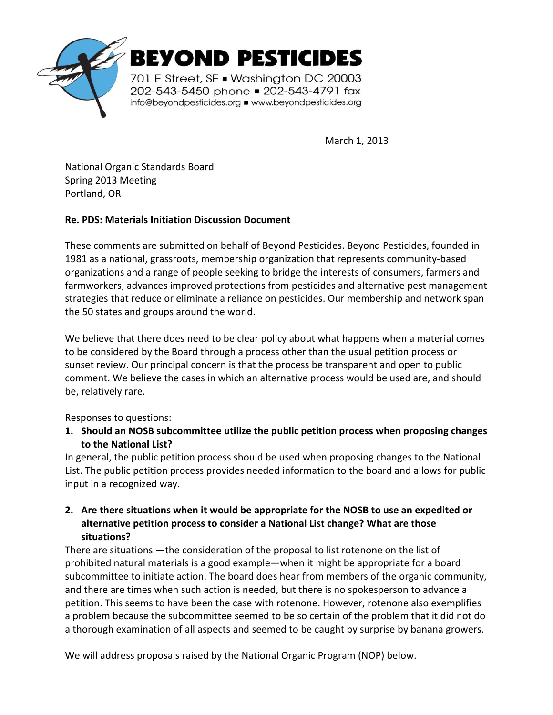

March 1, 2013

National Organic Standards Board Spring 2013 Meeting Portland, OR

## **Re. PDS: Materials Initiation Discussion Document**

These comments are submitted on behalf of Beyond Pesticides. Beyond Pesticides, founded in 1981 as a national, grassroots, membership organization that represents community-based organizations and a range of people seeking to bridge the interests of consumers, farmers and farmworkers, advances improved protections from pesticides and alternative pest management strategies that reduce or eliminate a reliance on pesticides. Our membership and network span the 50 states and groups around the world.

We believe that there does need to be clear policy about what happens when a material comes to be considered by the Board through a process other than the usual petition process or sunset review. Our principal concern is that the process be transparent and open to public comment. We believe the cases in which an alternative process would be used are, and should be, relatively rare.

Responses to questions:

**1. Should an NOSB subcommittee utilize the public petition process when proposing changes to the National List?** 

In general, the public petition process should be used when proposing changes to the National List. The public petition process provides needed information to the board and allows for public input in a recognized way.

## **2. Are there situations when it would be appropriate for the NOSB to use an expedited or alternative petition process to consider a National List change? What are those situations?**

There are situations —the consideration of the proposal to list rotenone on the list of prohibited natural materials is a good example—when it might be appropriate for a board subcommittee to initiate action. The board does hear from members of the organic community, and there are times when such action is needed, but there is no spokesperson to advance a petition. This seems to have been the case with rotenone. However, rotenone also exemplifies a problem because the subcommittee seemed to be so certain of the problem that it did not do a thorough examination of all aspects and seemed to be caught by surprise by banana growers.

We will address proposals raised by the National Organic Program (NOP) below.